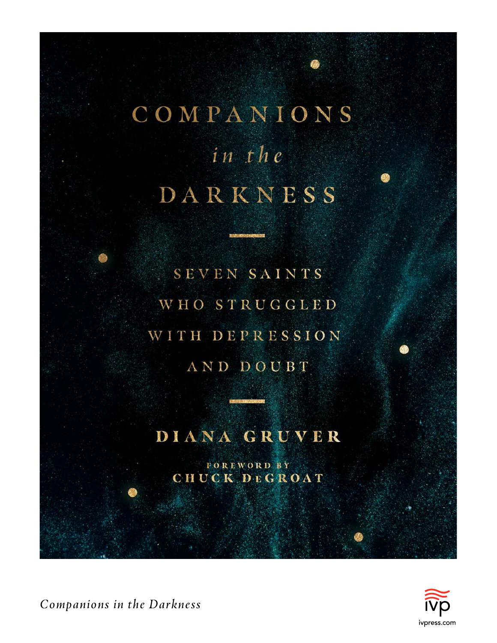# COMPANIONS in the DARKNESS

SEVEN SAINTS WHO STRUGGLED WITH DEPRESSION AND DOUBT

# DIANA GRUVER

**FOREWORD BY** CHUCK DEGROAT



*Companions in the Darkness*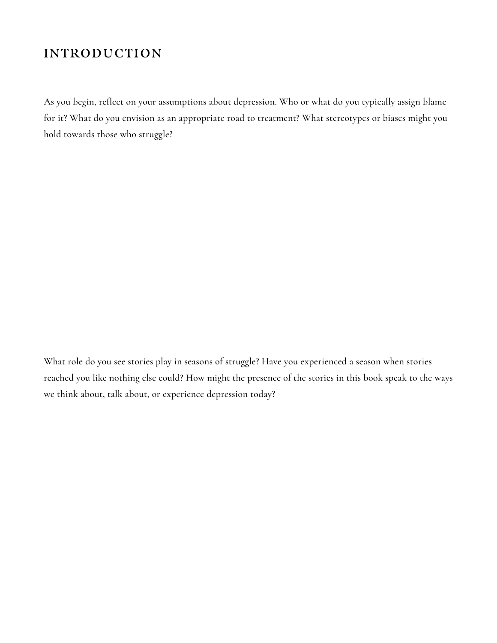#### **INTRODUCTION**

As you begin, reflect on your assumptions about depression. Who or what do you typically assign blame for it? What do you envision as an appropriate road to treatment? What stereotypes or biases might you hold towards those who struggle?

What role do you see stories play in seasons of struggle? Have you experienced a season when stories reached you like nothing else could? How might the presence of the stories in this book speak to the ways we think about, talk about, or experience depression today?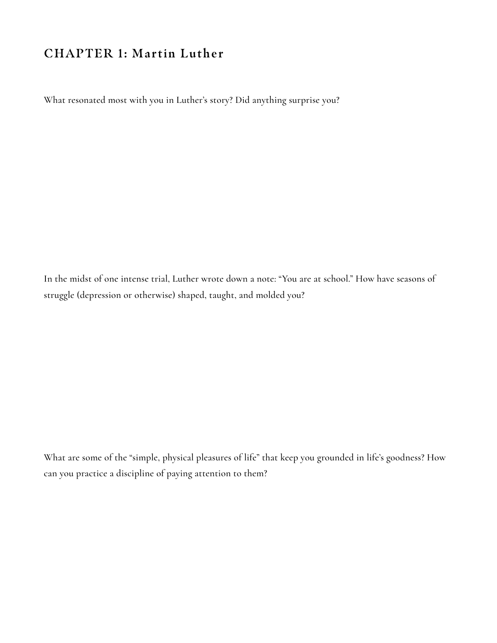#### **CHAPTER 1: Martin Luther**

What resonated most with you in Luther's story? Did anything surprise you?

In the midst of one intense trial, Luther wrote down a note: "You are at school." How have seasons of struggle (depression or otherwise) shaped, taught, and molded you?

What are some of the "simple, physical pleasures of life" that keep you grounded in life's goodness? How can you practice a discipline of paying attention to them?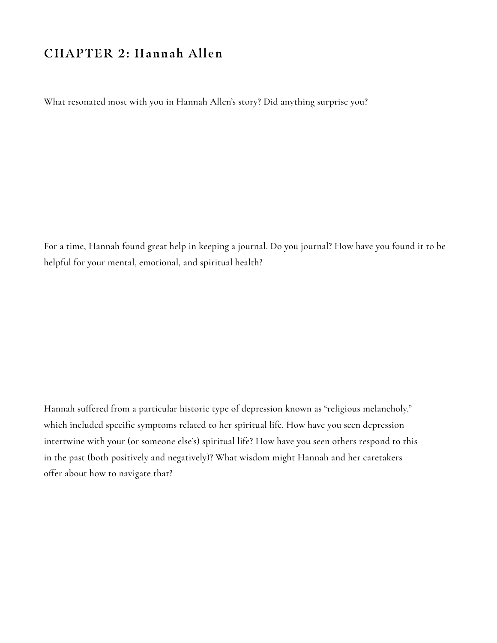#### **CHAPTER 2: Hannah Allen**

What resonated most with you in Hannah Allen's story? Did anything surprise you?

For a time, Hannah found great help in keeping a journal. Do you journal? How have you found it to be helpful for your mental, emotional, and spiritual health?

Hannah suffered from a particular historic type of depression known as "religious melancholy," which included specific symptoms related to her spiritual life. How have you seen depression intertwine with your (or someone else's) spiritual life? How have you seen others respond to this in the past (both positively and negatively)? What wisdom might Hannah and her caretakers offer about how to navigate that?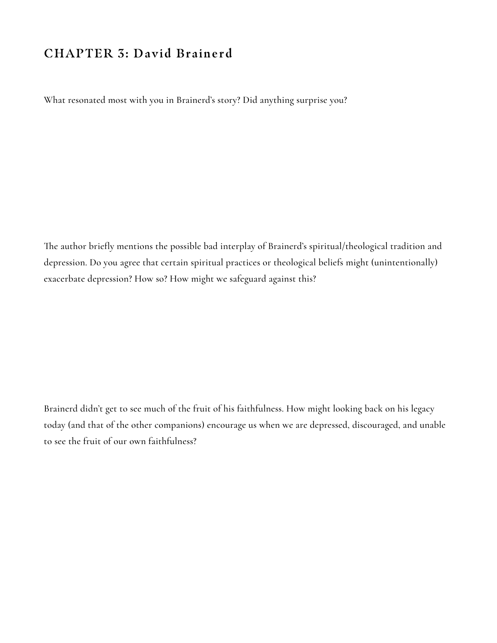#### **CHAPTER 3: David Brainerd**

What resonated most with you in Brainerd's story? Did anything surprise you?

The author briefly mentions the possible bad interplay of Brainerd's spiritual/theological tradition and depression. Do you agree that certain spiritual practices or theological beliefs might (unintentionally) exacerbate depression? How so? How might we safeguard against this?

Brainerd didn't get to see much of the fruit of his faithfulness. How might looking back on his legacy today (and that of the other companions) encourage us when we are depressed, discouraged, and unable to see the fruit of our own faithfulness?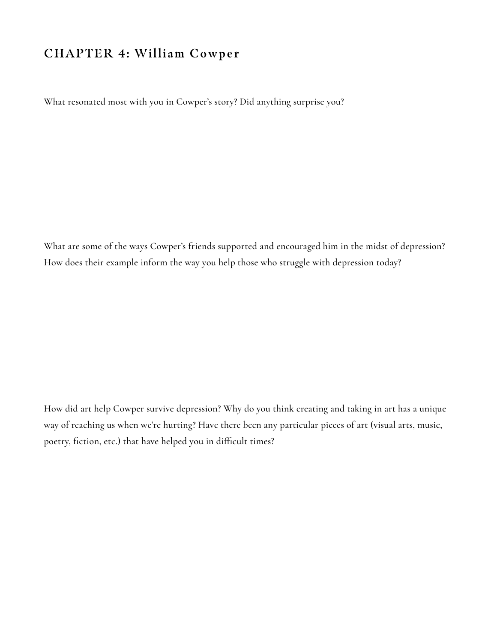#### **CHAPTER 4: William Cowper**

What resonated most with you in Cowper's story? Did anything surprise you?

What are some of the ways Cowper's friends supported and encouraged him in the midst of depression? How does their example inform the way you help those who struggle with depression today?

How did art help Cowper survive depression? Why do you think creating and taking in art has a unique way of reaching us when we're hurting? Have there been any particular pieces of art (visual arts, music, poetry, fiction, etc.) that have helped you in difficult times?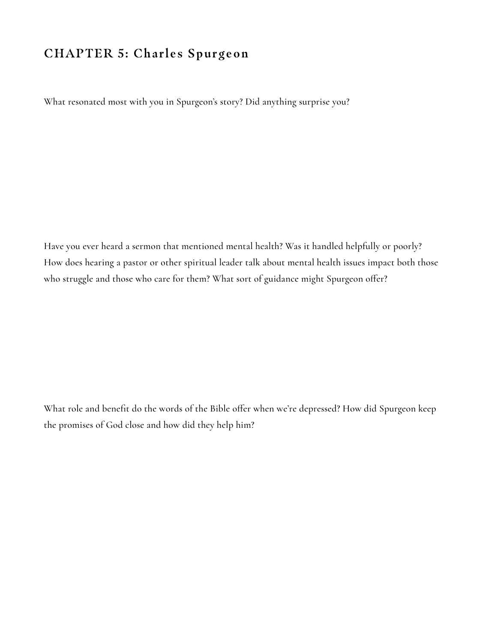#### **CHAPTER 5: Charles Spurgeon**

What resonated most with you in Spurgeon's story? Did anything surprise you?

Have you ever heard a sermon that mentioned mental health? Was it handled helpfully or poorly? How does hearing a pastor or other spiritual leader talk about mental health issues impact both those who struggle and those who care for them? What sort of guidance might Spurgeon offer?

What role and benefit do the words of the Bible offer when we're depressed? How did Spurgeon keep the promises of God close and how did they help him?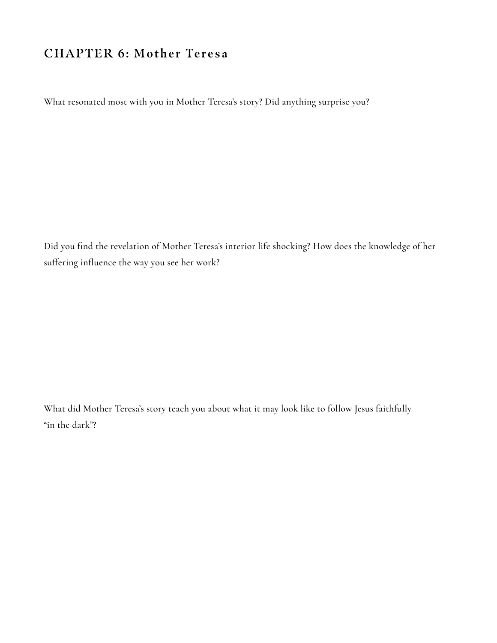#### **CHAPTER 6: Mother Teresa**

What resonated most with you in Mother Teresa's story? Did anything surprise you?

Did you find the revelation of Mother Teresa's interior life shocking? How does the knowledge of her suffering influence the way you see her work?

What did Mother Teresa's story teach you about what it may look like to follow Jesus faithfully "in the dark"?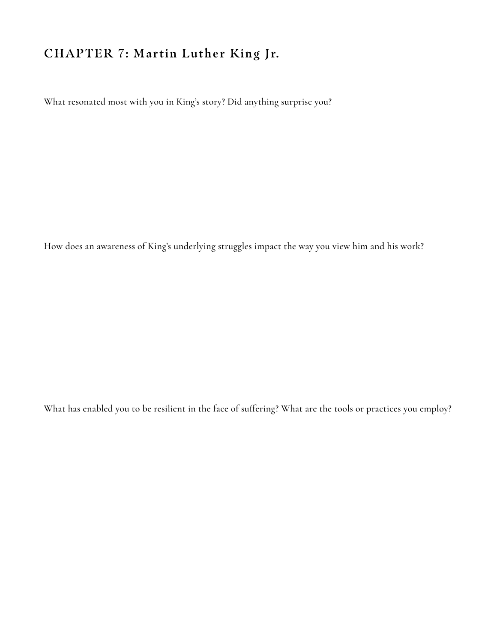## **CHAPTER 7: Martin Luther King Jr.**

What resonated most with you in King's story? Did anything surprise you?

How does an awareness of King's underlying struggles impact the way you view him and his work?

What has enabled you to be resilient in the face of suffering? What are the tools or practices you employ?